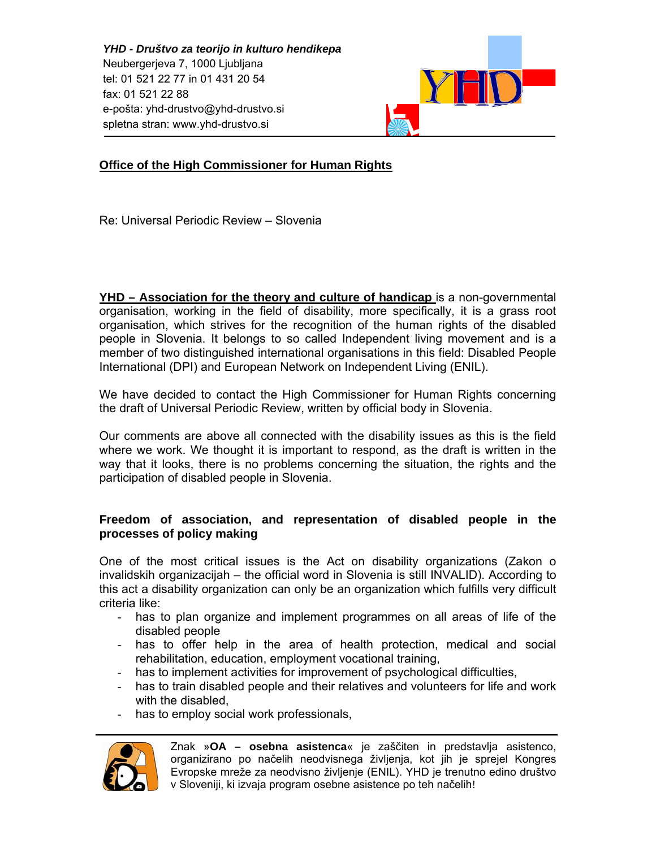*YHD - Društvo za teorijo in kulturo hendikepa*  Neubergerjeva 7, 1000 Ljubljana tel: 01 521 22 77 in 01 431 20 54 fax: 01 521 22 88 e-pošta: yhd-drustvo@yhd-drustvo.si spletna stran: www.yhd-drustvo.si



# **Office of the High Commissioner for Human Rights**

Re: Universal Periodic Review – Slovenia

**YHD – Association for the theory and culture of handicap** is a non-governmental organisation, working in the field of disability, more specifically, it is a grass root organisation, which strives for the recognition of the human rights of the disabled people in Slovenia. It belongs to so called Independent living movement and is a member of two distinguished international organisations in this field: Disabled People International (DPI) and European Network on Independent Living (ENIL).

We have decided to contact the High Commissioner for Human Rights concerning the draft of Universal Periodic Review, written by official body in Slovenia.

Our comments are above all connected with the disability issues as this is the field where we work. We thought it is important to respond, as the draft is written in the way that it looks, there is no problems concerning the situation, the rights and the participation of disabled people in Slovenia.

## **Freedom of association, and representation of disabled people in the processes of policy making**

One of the most critical issues is the Act on disability organizations (Zakon o invalidskih organizacijah – the official word in Slovenia is still INVALID). According to this act a disability organization can only be an organization which fulfills very difficult criteria like:

- has to plan organize and implement programmes on all areas of life of the disabled people
- has to offer help in the area of health protection, medical and social rehabilitation, education, employment vocational training,
- has to implement activities for improvement of psychological difficulties,
- has to train disabled people and their relatives and volunteers for life and work with the disabled,
- has to employ social work professionals,



Znak »**OA – osebna asistenca**« je zaščiten in predstavlja asistenco, organizirano po načelih neodvisnega življenja, kot jih je sprejel Kongres Evropske mreže za neodvisno življenje (ENIL). YHD je trenutno edino društvo v Sloveniji, ki izvaja program osebne asistence po teh načelih!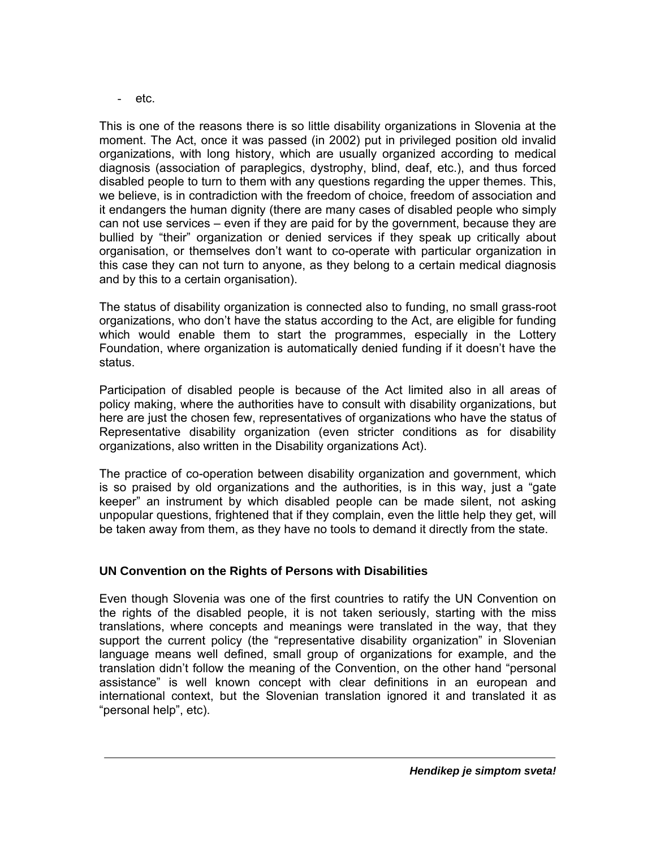etc.

This is one of the reasons there is so little disability organizations in Slovenia at the moment. The Act, once it was passed (in 2002) put in privileged position old invalid organizations, with long history, which are usually organized according to medical diagnosis (association of paraplegics, dystrophy, blind, deaf, etc.), and thus forced disabled people to turn to them with any questions regarding the upper themes. This, we believe, is in contradiction with the freedom of choice, freedom of association and it endangers the human dignity (there are many cases of disabled people who simply can not use services – even if they are paid for by the government, because they are bullied by "their" organization or denied services if they speak up critically about organisation, or themselves don't want to co-operate with particular organization in this case they can not turn to anyone, as they belong to a certain medical diagnosis and by this to a certain organisation).

The status of disability organization is connected also to funding, no small grass-root organizations, who don't have the status according to the Act, are eligible for funding which would enable them to start the programmes, especially in the Lottery Foundation, where organization is automatically denied funding if it doesn't have the status.

Participation of disabled people is because of the Act limited also in all areas of policy making, where the authorities have to consult with disability organizations, but here are just the chosen few, representatives of organizations who have the status of Representative disability organization (even stricter conditions as for disability organizations, also written in the Disability organizations Act).

The practice of co-operation between disability organization and government, which is so praised by old organizations and the authorities, is in this way, just a "gate keeper" an instrument by which disabled people can be made silent, not asking unpopular questions, frightened that if they complain, even the little help they get, will be taken away from them, as they have no tools to demand it directly from the state.

# **UN Convention on the Rights of Persons with Disabilities**

Even though Slovenia was one of the first countries to ratify the UN Convention on the rights of the disabled people, it is not taken seriously, starting with the miss translations, where concepts and meanings were translated in the way, that they support the current policy (the "representative disability organization" in Slovenian language means well defined, small group of organizations for example, and the translation didn't follow the meaning of the Convention, on the other hand "personal assistance" is well known concept with clear definitions in an european and international context, but the Slovenian translation ignored it and translated it as "personal help", etc).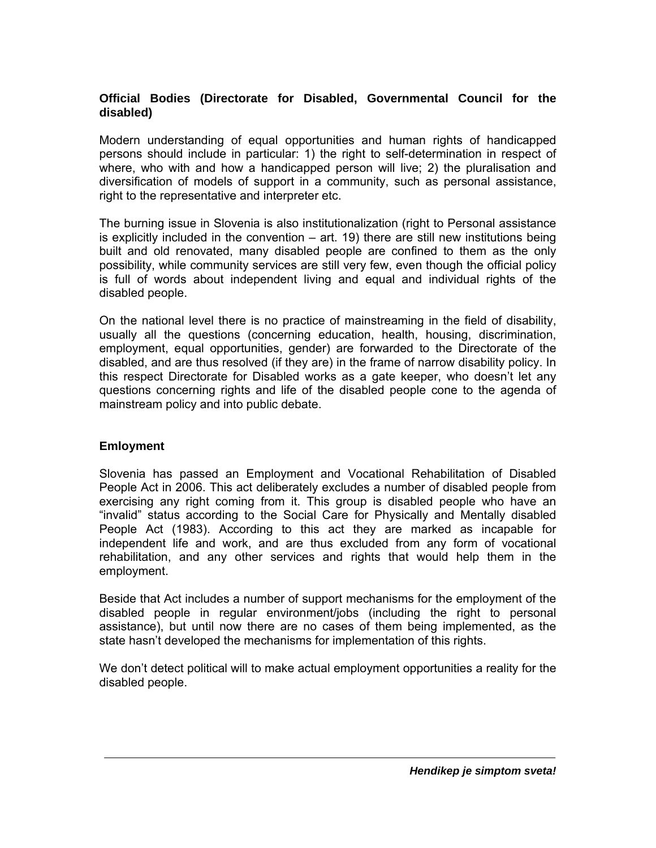# **Official Bodies (Directorate for Disabled, Governmental Council for the disabled)**

Modern understanding of equal opportunities and human rights of handicapped persons should include in particular: 1) the right to self-determination in respect of where, who with and how a handicapped person will live; 2) the pluralisation and diversification of models of support in a community, such as personal assistance, right to the representative and interpreter etc.

The burning issue in Slovenia is also institutionalization (right to Personal assistance is explicitly included in the convention  $-$  art. 19) there are still new institutions being built and old renovated, many disabled people are confined to them as the only possibility, while community services are still very few, even though the official policy is full of words about independent living and equal and individual rights of the disabled people.

On the national level there is no practice of mainstreaming in the field of disability, usually all the questions (concerning education, health, housing, discrimination, employment, equal opportunities, gender) are forwarded to the Directorate of the disabled, and are thus resolved (if they are) in the frame of narrow disability policy. In this respect Directorate for Disabled works as a gate keeper, who doesn't let any questions concerning rights and life of the disabled people cone to the agenda of mainstream policy and into public debate.

#### **Emloyment**

Slovenia has passed an Employment and Vocational Rehabilitation of Disabled People Act in 2006. This act deliberately excludes a number of disabled people from exercising any right coming from it. This group is disabled people who have an "invalid" status according to the Social Care for Physically and Mentally disabled People Act (1983). According to this act they are marked as incapable for independent life and work, and are thus excluded from any form of vocational rehabilitation, and any other services and rights that would help them in the employment.

Beside that Act includes a number of support mechanisms for the employment of the disabled people in regular environment/jobs (including the right to personal assistance), but until now there are no cases of them being implemented, as the state hasn't developed the mechanisms for implementation of this rights.

We don't detect political will to make actual employment opportunities a reality for the disabled people.